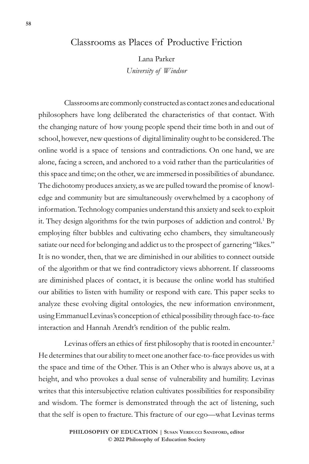# Classrooms as Places of Productive Friction

Lana Parker *University of Windsor*

Classrooms are commonly constructed as contact zones and educational philosophers have long deliberated the characteristics of that contact. With the changing nature of how young people spend their time both in and out of school, however, new questions of digital liminality ought to be considered. The online world is a space of tensions and contradictions. On one hand, we are alone, facing a screen, and anchored to a void rather than the particularities of this space and time; on the other, we are immersed in possibilities of abundance. The dichotomy produces anxiety, as we are pulled toward the promise of knowledge and community but are simultaneously overwhelmed by a cacophony of information. Technology companies understand this anxiety and seek to exploit it. They design algorithms for the twin purposes of addiction and control.<sup>1</sup> By employing filter bubbles and cultivating echo chambers, they simultaneously satiate our need for belonging and addict us to the prospect of garnering "likes." It is no wonder, then, that we are diminished in our abilities to connect outside of the algorithm or that we find contradictory views abhorrent. If classrooms are diminished places of contact, it is because the online world has stultified our abilities to listen with humility or respond with care. This paper seeks to analyze these evolving digital ontologies, the new information environment, using Emmanuel Levinas's conception of ethical possibility through face-to-face interaction and Hannah Arendt's rendition of the public realm.

Levinas offers an ethics of first philosophy that is rooted in encounter.<sup>2</sup> He determines that our ability to meet one another face-to-face provides us with the space and time of the Other. This is an Other who is always above us, at a height, and who provokes a dual sense of vulnerability and humility. Levinas writes that this intersubjective relation cultivates possibilities for responsibility and wisdom. The former is demonstrated through the act of listening, such that the self is open to fracture. This fracture of our ego—what Levinas terms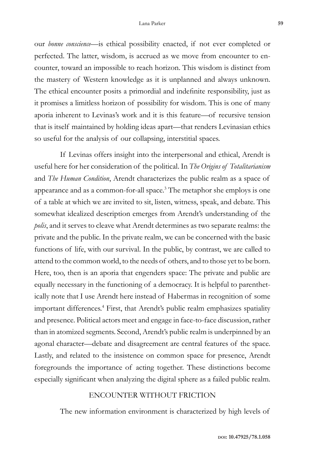our *bonne conscience*—is ethical possibility enacted, if not ever completed or perfected. The latter, wisdom, is accrued as we move from encounter to encounter, toward an impossible to reach horizon. This wisdom is distinct from the mastery of Western knowledge as it is unplanned and always unknown. The ethical encounter posits a primordial and indefinite responsibility, just as it promises a limitless horizon of possibility for wisdom. This is one of many aporia inherent to Levinas's work and it is this feature—of recursive tension that is itself maintained by holding ideas apart—that renders Levinasian ethics so useful for the analysis of our collapsing, interstitial spaces.

If Levinas offers insight into the interpersonal and ethical, Arendt is useful here for her consideration of the political. In *The Origins of Totalitarianism* and *The Human Condition*, Arendt characterizes the public realm as a space of appearance and as a common-for-all space.<sup>3</sup> The metaphor she employs is one of a table at which we are invited to sit, listen, witness, speak, and debate. This somewhat idealized description emerges from Arendt's understanding of the *polis*, and it serves to cleave what Arendt determines as two separate realms: the private and the public. In the private realm, we can be concerned with the basic functions of life, with our survival. In the public, by contrast, we are called to attend to the common world, to the needs of others, and to those yet to be born. Here, too, then is an aporia that engenders space: The private and public are equally necessary in the functioning of a democracy. It is helpful to parenthetically note that I use Arendt here instead of Habermas in recognition of some important differences.4 First, that Arendt's public realm emphasizes spatiality and presence. Political actors meet and engage in face-to-face discussion, rather than in atomized segments. Second, Arendt's public realm is underpinned by an agonal character—debate and disagreement are central features of the space. Lastly, and related to the insistence on common space for presence, Arendt foregrounds the importance of acting together. These distinctions become especially significant when analyzing the digital sphere as a failed public realm.

#### ENCOUNTER WITHOUT FRICTION

The new information environment is characterized by high levels of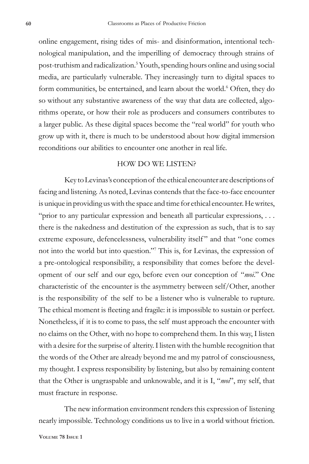online engagement, rising tides of mis- and disinformation, intentional technological manipulation, and the imperilling of democracy through strains of post-truthism and radicalization.<sup>5</sup> Youth, spending hours online and using social media, are particularly vulnerable. They increasingly turn to digital spaces to form communities, be entertained, and learn about the world.<sup>6</sup> Often, they do so without any substantive awareness of the way that data are collected, algorithms operate, or how their role as producers and consumers contributes to a larger public. As these digital spaces become the "real world" for youth who grow up with it, there is much to be understood about how digital immersion reconditions our abilities to encounter one another in real life.

# HOW DO WE LISTEN?

Key to Levinas's conception of the ethical encounter are descriptions of facing and listening. As noted, Levinas contends that the face-to-face encounter is unique in providing us with the space and time for ethical encounter. He writes, "prior to any particular expression and beneath all particular expressions, . . . there is the nakedness and destitution of the expression as such, that is to say extreme exposure, defencelessness, vulnerability itself" and that "one comes not into the world but into question."7 This is, for Levinas, the expression of a pre-ontological responsibility, a responsibility that comes before the development of our self and our ego, before even our conception of "*moi*." One characteristic of the encounter is the asymmetry between self/Other, another is the responsibility of the self to be a listener who is vulnerable to rupture. The ethical moment is fleeting and fragile: it is impossible to sustain or perfect. Nonetheless, if it is to come to pass, the self must approach the encounter with no claims on the Other, with no hope to comprehend them. In this way, I listen with a desire for the surprise of alterity. I listen with the humble recognition that the words of the Other are already beyond me and my patrol of consciousness, my thought. I express responsibility by listening, but also by remaining content that the Other is ungraspable and unknowable, and it is I, "*moi*", my self, that must fracture in response.

The new information environment renders this expression of listening nearly impossible. Technology conditions us to live in a world without friction.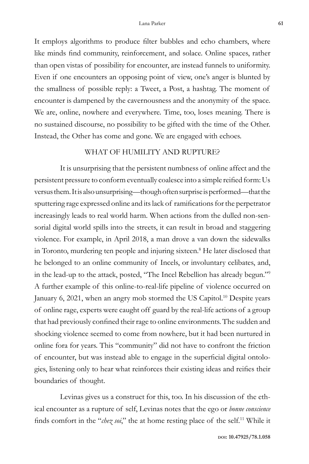It employs algorithms to produce filter bubbles and echo chambers, where like minds find community, reinforcement, and solace. Online spaces, rather than open vistas of possibility for encounter, are instead funnels to uniformity. Even if one encounters an opposing point of view, one's anger is blunted by the smallness of possible reply: a Tweet, a Post, a hashtag. The moment of encounter is dampened by the cavernousness and the anonymity of the space. We are, online, nowhere and everywhere. Time, too, loses meaning. There is no sustained discourse, no possibility to be gifted with the time of the Other. Instead, the Other has come and gone. We are engaged with echoes.

# WHAT OF HUMILITY AND RUPTURE?

It is unsurprising that the persistent numbness of online affect and the persistent pressure to conform eventually coalesce into a simple reified form: Us versus them. It is also unsurprising—though often surprise is performed—that the sputtering rage expressed online and its lack of ramifications for the perpetrator increasingly leads to real world harm. When actions from the dulled non-sensorial digital world spills into the streets, it can result in broad and staggering violence. For example, in April 2018, a man drove a van down the sidewalks in Toronto, murdering ten people and injuring sixteen.8 He later disclosed that he belonged to an online community of Incels, or involuntary celibates, and, in the lead-up to the attack, posted, "The Incel Rebellion has already begun."9 A further example of this online-to-real-life pipeline of violence occurred on January 6, 2021, when an angry mob stormed the US Capitol.<sup>10</sup> Despite years of online rage, experts were caught off guard by the real-life actions of a group that had previously confined their rage to online environments. The sudden and shocking violence seemed to come from nowhere, but it had been nurtured in online fora for years. This "community" did not have to confront the friction of encounter, but was instead able to engage in the superficial digital ontologies, listening only to hear what reinforces their existing ideas and reifies their boundaries of thought.

Levinas gives us a construct for this, too. In his discussion of the ethical encounter as a rupture of self, Levinas notes that the ego or *bonne conscience* finds comfort in the "*chez soi*," the at home resting place of the self.11 While it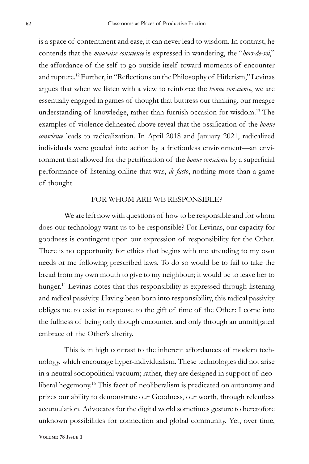is a space of contentment and ease, it can never lead to wisdom. In contrast, he contends that the *mauvaise conscience* is expressed in wandering, the "*hors-de-soi*," the affordance of the self to go outside itself toward moments of encounter and rupture.12 Further, in "Reflections on the Philosophy of Hitlerism," Levinas argues that when we listen with a view to reinforce the *bonne conscience*, we are essentially engaged in games of thought that buttress our thinking, our meagre understanding of knowledge, rather than furnish occasion for wisdom.13 The examples of violence delineated above reveal that the ossification of the *bonne conscience* leads to radicalization. In April 2018 and January 2021, radicalized individuals were goaded into action by a frictionless environment—an environment that allowed for the petrification of the *bonne conscience* by a superficial performance of listening online that was, *de facto*, nothing more than a game of thought.

#### FOR WHOM ARE WE RESPONSIBLE?

We are left now with questions of how to be responsible and for whom does our technology want us to be responsible? For Levinas, our capacity for goodness is contingent upon our expression of responsibility for the Other. There is no opportunity for ethics that begins with me attending to my own needs or me following prescribed laws. To do so would be to fail to take the bread from my own mouth to give to my neighbour; it would be to leave her to hunger.<sup>14</sup> Levinas notes that this responsibility is expressed through listening and radical passivity. Having been born into responsibility, this radical passivity obliges me to exist in response to the gift of time of the Other: I come into the fullness of being only though encounter, and only through an unmitigated embrace of the Other's alterity.

This is in high contrast to the inherent affordances of modern technology, which encourage hyper-individualism. These technologies did not arise in a neutral sociopolitical vacuum; rather, they are designed in support of neoliberal hegemony.<sup>15</sup> This facet of neoliberalism is predicated on autonomy and prizes our ability to demonstrate our Goodness, our worth, through relentless accumulation. Advocates for the digital world sometimes gesture to heretofore unknown possibilities for connection and global community. Yet, over time,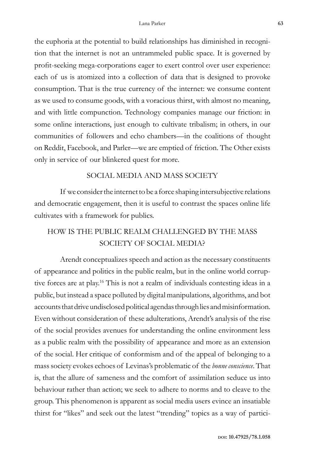the euphoria at the potential to build relationships has diminished in recognition that the internet is not an untrammeled public space. It is governed by profit-seeking mega-corporations eager to exert control over user experience: each of us is atomized into a collection of data that is designed to provoke consumption. That is the true currency of the internet: we consume content as we used to consume goods, with a voracious thirst, with almost no meaning, and with little compunction. Technology companies manage our friction: in some online interactions, just enough to cultivate tribalism; in others, in our communities of followers and echo chambers—in the coalitions of thought on Reddit, Facebook, and Parler—we are emptied of friction. The Other exists only in service of our blinkered quest for more.

#### SOCIAL MEDIA AND MASS SOCIETY

If we consider the internet to be a force shaping intersubjective relations and democratic engagement, then it is useful to contrast the spaces online life cultivates with a framework for publics.

# HOW IS THE PUBLIC REALM CHALLENGED BY THE MASS SOCIETY OF SOCIAL MEDIA?

Arendt conceptualizes speech and action as the necessary constituents of appearance and politics in the public realm, but in the online world corruptive forces are at play.16 This is not a realm of individuals contesting ideas in a public, but instead a space polluted by digital manipulations, algorithms, and bot accounts that drive undisclosed political agendas through lies and misinformation. Even without consideration of these adulterations, Arendt's analysis of the rise of the social provides avenues for understanding the online environment less as a public realm with the possibility of appearance and more as an extension of the social. Her critique of conformism and of the appeal of belonging to a mass society evokes echoes of Levinas's problematic of the *bonne conscience*. That is, that the allure of sameness and the comfort of assimilation seduce us into behaviour rather than action; we seek to adhere to norms and to cleave to the group. This phenomenon is apparent as social media users evince an insatiable thirst for "likes" and seek out the latest "trending" topics as a way of partici-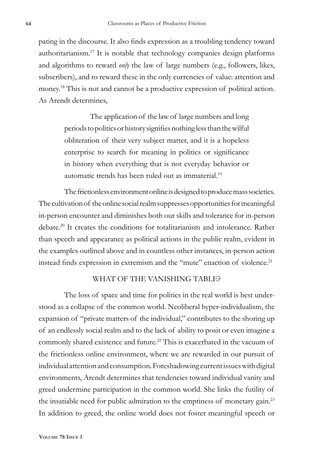pating in the discourse. It also finds expression as a troubling tendency toward authoritarianism.17 It is notable that technology companies design platforms and algorithms to reward *only* the law of large numbers (e.g., followers, likes, subscribers), and to reward these in the only currencies of value: attention and money.18 This is not and cannot be a productive expression of political action. As Arendt determines,

> The application of the law of large numbers and long periods to politics or history signifies nothing less than the wilful obliteration of their very subject matter, and it is a hopeless enterprise to search for meaning in politics or significance in history when everything that is not everyday behavior or automatic trends has been ruled out as immaterial.<sup>19</sup>

The frictionless environment online is designed to produce mass societies. The cultivation of the online social realm suppresses opportunities for meaningful in-person encounter and diminishes both our skills and tolerance for in-person debate.20 It creates the conditions for totalitarianism and intolerance. Rather than speech and appearance as political actions in the public realm, evident in the examples outlined above and in countless other instances, in-person action instead finds expression in extremism and the "mute" enaction of violence.<sup>21</sup>

#### WHAT OF THE VANISHING TABLE?

The loss of space and time for politics in the real world is best understood as a collapse of the common world. Neoliberal hyper-individualism, the expansion of "private matters of the individual," contributes to the shoring up of an endlessly social realm and to the lack of ability to posit or even imagine a commonly shared existence and future.<sup>22</sup> This is exacerbated in the vacuum of the frictionless online environment, where we are rewarded in our pursuit of individual attention and consumption. Foreshadowing current issues with digital environments, Arendt determines that tendencies toward individual vanity and greed undermine participation in the common world. She links the futility of the insatiable need for public admiration to the emptiness of monetary gain.<sup>23</sup> In addition to greed, the online world does not foster meaningful speech or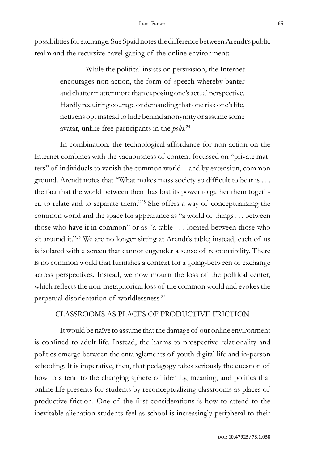possibilities for exchange. Sue Spaid notes the difference between Arendt's public realm and the recursive navel-gazing of the online environment:

> While the political insists on persuasion, the Internet encourages non-action, the form of speech whereby banter and chatter matter more than exposing one's actual perspective. Hardly requiring courage or demanding that one risk one's life, netizens opt instead to hide behind anonymity or assume some avatar, unlike free participants in the *polis*. 24

In combination, the technological affordance for non-action on the Internet combines with the vacuousness of content focussed on "private matters" of individuals to vanish the common world—and by extension, common ground. Arendt notes that "What makes mass society so difficult to bear is . . . the fact that the world between them has lost its power to gather them together, to relate and to separate them."25 She offers a way of conceptualizing the common world and the space for appearance as "a world of things . . . between those who have it in common" or as "a table . . . located between those who sit around it."<sup>26</sup> We are no longer sitting at Arendt's table; instead, each of us is isolated with a screen that cannot engender a sense of responsibility. There is no common world that furnishes a context for a going-between or exchange across perspectives. Instead, we now mourn the loss of the political center, which reflects the non-metaphorical loss of the common world and evokes the perpetual disorientation of worldlessness.27

# CLASSROOMS AS PLACES OF PRODUCTIVE FRICTION

It would be naïve to assume that the damage of our online environment is confined to adult life. Instead, the harms to prospective relationality and politics emerge between the entanglements of youth digital life and in-person schooling. It is imperative, then, that pedagogy takes seriously the question of how to attend to the changing sphere of identity, meaning, and politics that online life presents for students by reconceptualizing classrooms as places of productive friction. One of the first considerations is how to attend to the inevitable alienation students feel as school is increasingly peripheral to their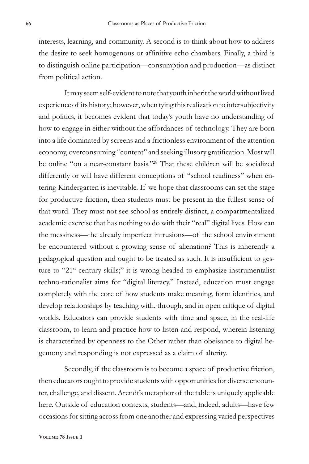interests, learning, and community. A second is to think about how to address the desire to seek homogenous or affinitive echo chambers. Finally, a third is to distinguish online participation—consumption and production—as distinct from political action.

It may seem self-evident to note that youth inherit the world without lived experience of its history; however, when tying this realization to intersubjectivity and politics, it becomes evident that today's youth have no understanding of how to engage in either without the affordances of technology. They are born into a life dominated by screens and a frictionless environment of the attention economy, overconsuming "content" and seeking illusory gratification. Most will be online "on a near-constant basis."28 That these children will be socialized differently or will have different conceptions of "school readiness" when entering Kindergarten is inevitable. If we hope that classrooms can set the stage for productive friction, then students must be present in the fullest sense of that word. They must not see school as entirely distinct, a compartmentalized academic exercise that has nothing to do with their "real" digital lives. How can the messiness—the already imperfect intrusions—of the school environment be encountered without a growing sense of alienation? This is inherently a pedagogical question and ought to be treated as such. It is insufficient to gesture to "21<sup>st</sup> century skills;" it is wrong-headed to emphasize instrumentalist techno-rationalist aims for "digital literacy." Instead, education must engage completely with the core of how students make meaning, form identities, and develop relationships by teaching with, through, and in open critique of digital worlds. Educators can provide students with time and space, in the real-life classroom, to learn and practice how to listen and respond, wherein listening is characterized by openness to the Other rather than obeisance to digital hegemony and responding is not expressed as a claim of alterity.

Secondly, if the classroom is to become a space of productive friction, then educators ought to provide students with opportunities for diverse encounter, challenge, and dissent. Arendt's metaphor of the table is uniquely applicable here. Outside of education contexts, students—and, indeed, adults—have few occasions for sitting across from one another and expressing varied perspectives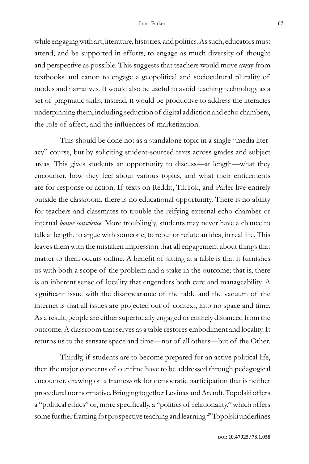while engaging with art, literature, histories, and politics. As such, educators must attend, and be supported in efforts, to engage as much diversity of thought and perspective as possible. This suggests that teachers would move away from textbooks and canon to engage a geopolitical and sociocultural plurality of modes and narratives. It would also be useful to avoid teaching technology as a set of pragmatic skills; instead, it would be productive to address the literacies underpinning them, including seduction of digital addiction and echo chambers, the role of affect, and the influences of marketization.

This should be done not as a standalone topic in a single "media literacy" course, but by soliciting student-sourced texts across grades and subject areas. This gives students an opportunity to discuss—at length—what they encounter, how they feel about various topics, and what their enticements are for response or action. If texts on Reddit, TikTok, and Parler live entirely outside the classroom, there is no educational opportunity. There is no ability for teachers and classmates to trouble the reifying external echo chamber or internal *bonne conscience*. More troublingly, students may never have a chance to talk at length, to argue with someone, to rebut or refute an idea, in real life. This leaves them with the mistaken impression that all engagement about things that matter to them occurs online. A benefit of sitting at a table is that it furnishes us with both a scope of the problem and a stake in the outcome; that is, there is an inherent sense of locality that engenders both care and manageability. A significant issue with the disappearance of the table and the vacuum of the internet is that all issues are projected out of context, into no space and time. As a result, people are either superficially engaged or entirely distanced from the outcome. A classroom that serves as a table restores embodiment and locality. It returns us to the sensate space and time—not of all others—but of the Other.

Thirdly, if students are to become prepared for an active political life, then the major concerns of our time have to be addressed through pedagogical encounter, drawing on a framework for democratic participation that is neither procedural nor normative. Bringing together Levinas and Arendt, Topolski offers a "political ethics" or, more specifically, a "politics of relationality," which offers some further framing for prospective teaching and learning.<sup>29</sup> Topolski underlines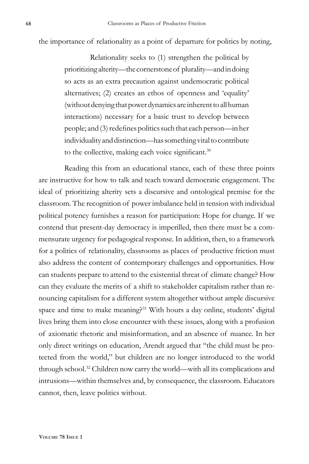the importance of relationality as a point of departure for politics by noting,

Relationality seeks to (1) strengthen the political by prioritizing alterity—the cornerstone of plurality—and in doing so acts as an extra precaution against undemocratic political alternatives; (2) creates an ethos of openness and 'equality' (without denying that power dynamics are inherent to all human interactions) necessary for a basic trust to develop between people; and (3) redefines politics such that each person—in her individuality and distinction—has something vital to contribute to the collective, making each voice significant.<sup>30</sup>

Reading this from an educational stance, each of these three points are instructive for how to talk and teach toward democratic engagement. The ideal of prioritizing alterity sets a discursive and ontological premise for the classroom. The recognition of power imbalance held in tension with individual political potency furnishes a reason for participation: Hope for change. If we contend that present-day democracy is imperilled, then there must be a commensurate urgency for pedagogical response. In addition, then, to a framework for a politics of relationality, classrooms as places of productive friction must also address the content of contemporary challenges and opportunities. How can students prepare to attend to the existential threat of climate change? How can they evaluate the merits of a shift to stakeholder capitalism rather than renouncing capitalism for a different system altogether without ample discursive space and time to make meaning?<sup>31</sup> With hours a day online, students' digital lives bring them into close encounter with these issues, along with a profusion of axiomatic rhetoric and misinformation, and an absence of nuance. In her only direct writings on education, Arendt argued that "the child must be protected from the world," but children are no longer introduced to the world through school.32 Children now carry the world—with all its complications and intrusions—within themselves and, by consequence, the classroom. Educators cannot, then, leave politics without.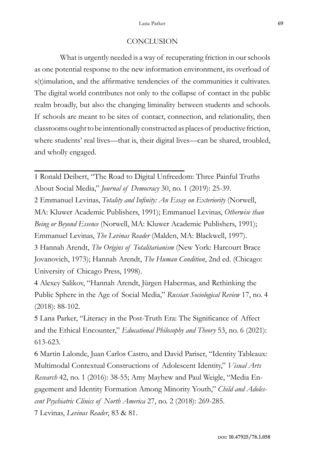#### **CONCLUSION**

What is urgently needed is a way of recuperating friction in our schools as one potential response to the new information environment, its overload of s(t)imulation, and the affirmative tendencies of the communities it cultivates. The digital world contributes not only to the collapse of contact in the public realm broadly, but also the changing liminality between students and schools. If schools are meant to be sites of contact, connection, and relationality, then classrooms ought to be intentionally constructed as places of productive friction, where students' real lives—that is, their digital lives—can be shared, troubled, and wholly engaged.

1 Ronald Deibert, "The Road to Digital Unfreedom: Three Painful Truths About Social Media," *Journal of Democracy* 30, no. 1 (2019): 25-39. 2 Emmanuel Levinas, *Totality and Infinity: An Essay on Exteriority* (Norwell, MA: Kluwer Academic Publishers, 1991); Emmanuel Levinas, *Otherwise than Being or Beyond Essence* (Norwell, MA: Kluwer Academic Publishers, 1991); Emmanuel Levinas, *The Levinas Reader* (Malden, MA: Blackwell, 1997). 3 Hannah Arendt, *The Origins of Totalitarianism* (New York: Harcourt Brace Jovanovich, 1973); Hannah Arendt, *The Human Condition*, 2nd ed. (Chicago: University of Chicago Press, 1998).

4 Alexey Salikov, "Hannah Arendt, Jürgen Habermas, and Rethinking the Public Sphere in the Age of Social Media," *Russian Sociological Review* 17, no. 4 (2018): 88-102.

5 Lana Parker, "Literacy in the Post-Truth Era: The Significance of Affect and the Ethical Encounter," *Educational Philosophy and Theory* 53, no. 6 (2021): 613-623.

6 Martin Lalonde, Juan Carlos Castro, and David Pariser, "Identity Tableaux: Multimodal Contextual Constructions of Adolescent Identity," *Visual Arts Research* 42, no. 1 (2016): 38-55; Amy Mayhew and Paul Weigle, "Media Engagement and Identity Formation Among Minority Youth," *Child and Adolescent Psychiatric Clinics of North America* 27, no. 2 (2018): 269-285.

7 Levinas, *Levinas Reader*, 83 & 81.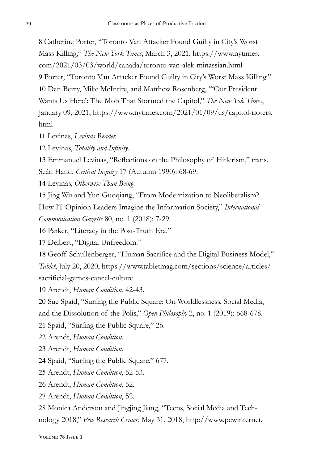Catherine Porter, "Toronto Van Attacker Found Guilty in City's Worst Mass Killing," *The New York Times*, March 3, 2021, https://www.nytimes. com/2021/03/03/world/canada/toronto-van-alek-minassian.html Porter, "Toronto Van Attacker Found Guilty in City's Worst Mass Killing." Dan Berry, Mike McIntire, and Matthew Rosenberg, "'Our President Wants Us Here': The Mob That Stormed the Capitol," *The New Yok Times*, January 09, 2021, https://www.nytimes.com/2021/01/09/us/capitol-rioters. html

Levinas, *Levinas Reader.*

Levinas, *Totality and Infinity.*

 Emmanuel Levinas, "Reflections on the Philosophy of Hitlerism," trans. Seán Hand, *Critical Inquiry* 17 (Autumn 1990): 68-69.

Levinas, *Otherwise Than Being.*

 Jing Wu and Yun Guoqiang, "From Modernization to Neoliberalism? How IT Opinion Leaders Imagine the Information Society," *International Communication Gazette* 80, no. 1 (2018): 7-29.

Parker, "Literacy in the Post-Truth Era."

Deibert, "Digital Unfreedom."

 Geoff Schullenberger, "Human Sacrifice and the Digital Business Model," *Tablet*, July 20, 2020, https://www.tabletmag.com/sections/science/articles/ sacrificial-games-cancel-culture

Arendt, *Human Condition*, 42-43.

Sue Spaid, "Surfing the Public Square: On Worldlessness, Social Media,

and the Dissolution of the Polis," *Open Philosophy* 2, no. 1 (2019): 668-678.

Spaid, "Surfing the Public Square," 26.

Arendt, *Human Condition.*

Arendt, *Human Condition.*

Spaid, "Surfing the Public Square," 677.

Arendt, *Human Condition*, 52-53.

Arendt, *Human Condition*, 52.

Arendt, *Human Condition*, 52.

 Monica Anderson and Jingjing Jiang, "Teens, Social Media and Technology 2018," *Pew Research Center*, May 31, 2018, http://www.pewinternet.